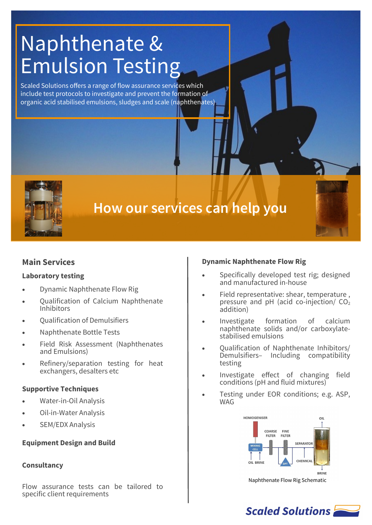# Naphthenate & Emulsion Testing

Scaled Solutions offers a range of flow assurance services which include test protocols to investigate and prevent the formation of organic acid stabilised emulsions, sludges and scale (naphthenates)



## **How our services can help you**

### **Main Services**

### **Laboratory testing**

- Dynamic Naphthenate Flow Rig
- Qualification of Calcium Naphthenate Inhibitors
- Qualification of Demulsifiers
- Naphthenate Bottle Tests
- Field Risk Assessment (Naphthenates and Emulsions)
- Refinery/separation testing for heat exchangers, desalters etc

### **Supportive Techniques**

- Water-in-Oil Analysis
- Oil-in-Water Analysis
- SEM/EDX Analysis

### **Equipment Design and Build**

### **Consultancy**

Flow assurance tests can be tailored to specific client requirements

### **Dynamic Naphthenate Flow Rig**

- Specifically developed test rig; designed and manufactured in-house
- Field representative: shear, temperature , pressure and pH (acid co-injection/ $CO<sub>2</sub>$ addition)
- Investigate formation of calcium naphthenate solids and/or carboxylatestabilised emulsions
- Qualification of Naphthenate Inhibitors/ Demulsifiers– Including compatibility testing
- Investigate effect of changing field conditions (pH and fluid mixtures)
- Testing under EOR conditions; e.g. ASP, **WAG**



Naphthenate Flow Rig Schematic

### **Scaled Solutions**